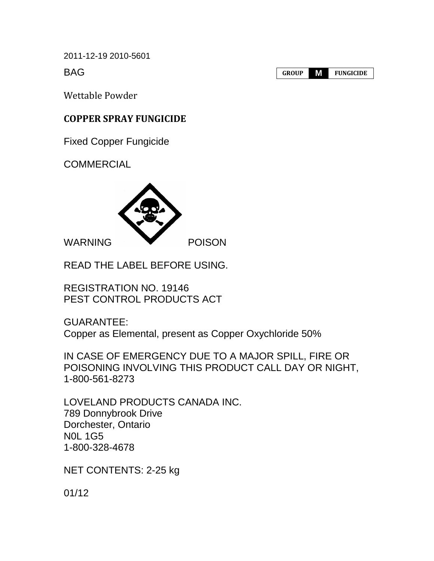2011-12-19 2010-5601

BAG

**GROUP M FUNGICIDE**

Wettable Powder

# **COPPER SPRAY FUNGICIDE**

Fixed Copper Fungicide

**COMMERCIAL** 



READ THE LABEL BEFORE USING.

REGISTRATION NO. 19146 PEST CONTROL PRODUCTS ACT

GUARANTEE: Copper as Elemental, present as Copper Oxychloride 50%

IN CASE OF EMERGENCY DUE TO A MAJOR SPILL, FIRE OR POISONING INVOLVING THIS PRODUCT CALL DAY OR NIGHT, 1-800-561-8273

LOVELAND PRODUCTS CANADA INC. 789 Donnybrook Drive Dorchester, Ontario N0L 1G5 1-800-328-4678

NET CONTENTS: 2-25 kg

01/12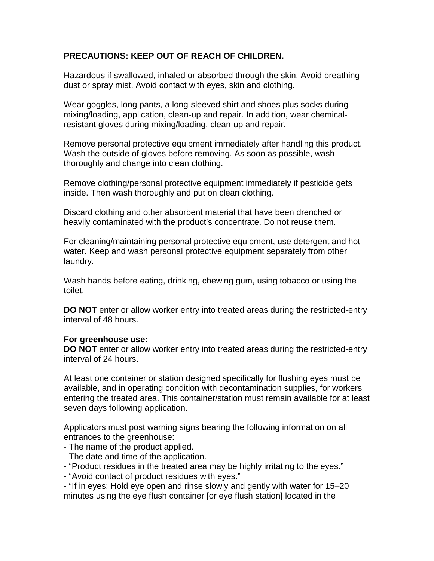## **PRECAUTIONS: KEEP OUT OF REACH OF CHILDREN.**

Hazardous if swallowed, inhaled or absorbed through the skin. Avoid breathing dust or spray mist. Avoid contact with eyes, skin and clothing.

Wear goggles, long pants, a long-sleeved shirt and shoes plus socks during mixing/loading, application, clean-up and repair. In addition, wear chemicalresistant gloves during mixing/loading, clean-up and repair.

Remove personal protective equipment immediately after handling this product. Wash the outside of gloves before removing. As soon as possible, wash thoroughly and change into clean clothing.

Remove clothing/personal protective equipment immediately if pesticide gets inside. Then wash thoroughly and put on clean clothing.

Discard clothing and other absorbent material that have been drenched or heavily contaminated with the product's concentrate. Do not reuse them.

For cleaning/maintaining personal protective equipment, use detergent and hot water. Keep and wash personal protective equipment separately from other laundry.

Wash hands before eating, drinking, chewing gum, using tobacco or using the toilet.

**DO NOT** enter or allow worker entry into treated areas during the restricted-entry interval of 48 hours.

#### **For greenhouse use:**

**DO NOT** enter or allow worker entry into treated areas during the restricted-entry interval of 24 hours.

At least one container or station designed specifically for flushing eyes must be available, and in operating condition with decontamination supplies, for workers entering the treated area. This container/station must remain available for at least seven days following application.

Applicators must post warning signs bearing the following information on all entrances to the greenhouse:

- The name of the product applied.
- The date and time of the application.
- "Product residues in the treated area may be highly irritating to the eyes."
- "Avoid contact of product residues with eyes."

- "If in eyes: Hold eye open and rinse slowly and gently with water for 15–20 minutes using the eye flush container [or eye flush station] located in the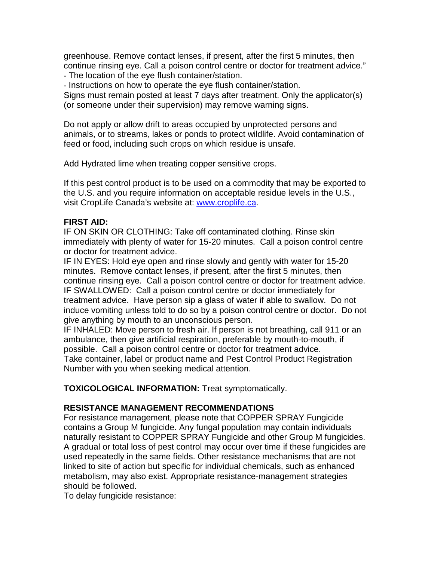greenhouse. Remove contact lenses, if present, after the first 5 minutes, then continue rinsing eye. Call a poison control centre or doctor for treatment advice." - The location of the eye flush container/station.

- Instructions on how to operate the eye flush container/station.

Signs must remain posted at least 7 days after treatment. Only the applicator(s) (or someone under their supervision) may remove warning signs.

Do not apply or allow drift to areas occupied by unprotected persons and animals, or to streams, lakes or ponds to protect wildlife. Avoid contamination of feed or food, including such crops on which residue is unsafe.

Add Hydrated lime when treating copper sensitive crops.

If this pest control product is to be used on a commodity that may be exported to the U.S. and you require information on acceptable residue levels in the U.S., visit CropLife Canada's website at: [www.croplife.ca.](http://www.croplife.ca/)

#### **FIRST AID:**

IF ON SKIN OR CLOTHING: Take off contaminated clothing. Rinse skin immediately with plenty of water for 15-20 minutes. Call a poison control centre or doctor for treatment advice.

IF IN EYES: Hold eye open and rinse slowly and gently with water for 15-20 minutes. Remove contact lenses, if present, after the first 5 minutes, then continue rinsing eye. Call a poison control centre or doctor for treatment advice. IF SWALLOWED: Call a poison control centre or doctor immediately for treatment advice. Have person sip a glass of water if able to swallow. Do not induce vomiting unless told to do so by a poison control centre or doctor. Do not give anything by mouth to an unconscious person.

IF INHALED: Move person to fresh air. If person is not breathing, call 911 or an ambulance, then give artificial respiration, preferable by mouth-to-mouth, if possible. Call a poison control centre or doctor for treatment advice. Take container, label or product name and Pest Control Product Registration Number with you when seeking medical attention.

**TOXICOLOGICAL INFORMATION:** Treat symptomatically.

### **RESISTANCE MANAGEMENT RECOMMENDATIONS**

For resistance management, please note that COPPER SPRAY Fungicide contains a Group M fungicide. Any fungal population may contain individuals naturally resistant to COPPER SPRAY Fungicide and other Group M fungicides. A gradual or total loss of pest control may occur over time if these fungicides are used repeatedly in the same fields. Other resistance mechanisms that are not linked to site of action but specific for individual chemicals, such as enhanced metabolism, may also exist. Appropriate resistance-management strategies should be followed.

To delay fungicide resistance: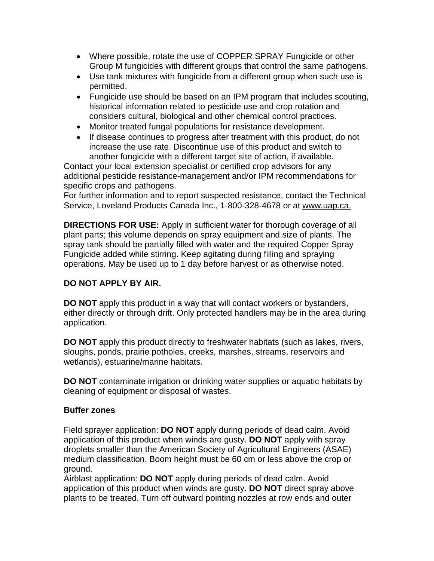- Where possible, rotate the use of COPPER SPRAY Fungicide or other Group M fungicides with different groups that control the same pathogens.
- Use tank mixtures with fungicide from a different group when such use is permitted.
- Fungicide use should be based on an IPM program that includes scouting, historical information related to pesticide use and crop rotation and considers cultural, biological and other chemical control practices.
- Monitor treated fungal populations for resistance development.
- If disease continues to progress after treatment with this product, do not increase the use rate. Discontinue use of this product and switch to another fungicide with a different target site of action, if available.

Contact your local extension specialist or certified crop advisors for any additional pesticide resistance-management and/or IPM recommendations for specific crops and pathogens.

For further information and to report suspected resistance, contact the Technical Service, Loveland Products Canada Inc., 1-800-328-4678 or at www.uap.ca.

**DIRECTIONS FOR USE:** Apply in sufficient water for thorough coverage of all plant parts; this volume depends on spray equipment and size of plants. The spray tank should be partially filled with water and the required Copper Spray Fungicide added while stirring. Keep agitating during filling and spraying operations. May be used up to 1 day before harvest or as otherwise noted.

## **DO NOT APPLY BY AIR.**

**DO NOT** apply this product in a way that will contact workers or bystanders, either directly or through drift. Only protected handlers may be in the area during application.

**DO NOT** apply this product directly to freshwater habitats (such as lakes, rivers, sloughs, ponds, prairie potholes, creeks, marshes, streams, reservoirs and wetlands), estuarine/marine habitats.

**DO NOT** contaminate irrigation or drinking water supplies or aquatic habitats by cleaning of equipment or disposal of wastes.

### **Buffer zones**

Field sprayer application: **DO NOT** apply during periods of dead calm. Avoid application of this product when winds are gusty. **DO NOT** apply with spray droplets smaller than the American Society of Agricultural Engineers (ASAE) medium classification. Boom height must be 60 cm or less above the crop or ground.

Airblast application: **DO NOT** apply during periods of dead calm. Avoid application of this product when winds are gusty. **DO NOT** direct spray above plants to be treated. Turn off outward pointing nozzles at row ends and outer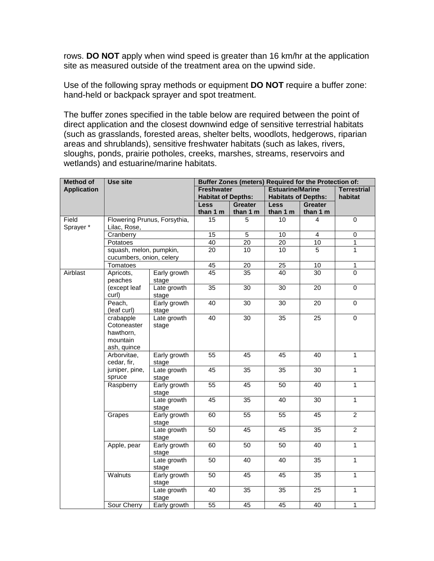rows. **DO NOT** apply when wind speed is greater than 16 km/hr at the application site as measured outside of the treatment area on the upwind side.

Use of the following spray methods or equipment **DO NOT** require a buffer zone: hand-held or backpack sprayer and spot treatment.

The buffer zones specified in the table below are required between the point of direct application and the closest downwind edge of sensitive terrestrial habitats (such as grasslands, forested areas, shelter belts, woodlots, hedgerows, riparian areas and shrublands), sensitive freshwater habitats (such as lakes, rivers, sloughs, ponds, prairie potholes, creeks, marshes, streams, reservoirs and wetlands) and estuarine/marine habitats.

| <b>Method of</b>   | Use site                |                              | Buffer Zones (meters) Required for the Protection of: |                 |                            |                 |                    |
|--------------------|-------------------------|------------------------------|-------------------------------------------------------|-----------------|----------------------------|-----------------|--------------------|
| <b>Application</b> |                         |                              | <b>Estuarine/Marine</b><br><b>Freshwater</b>          |                 |                            |                 | <b>Terrestrial</b> |
|                    |                         |                              | <b>Habitat of Depths:</b>                             |                 | <b>Habitats of Depths:</b> |                 | habitat            |
|                    |                         |                              | <b>Less</b>                                           | <b>Greater</b>  | <b>Less</b>                | <b>Greater</b>  |                    |
|                    |                         |                              | than 1 m                                              | than 1 m        | than 1 m                   | than 1 m        |                    |
| Field              |                         | Flowering Prunus, Forsythia, | 15                                                    | 5               | $\overline{10}$            | 4               | $\overline{0}$     |
| Sprayer *          | Lilac, Rose,            |                              |                                                       |                 |                            |                 |                    |
|                    | Cranberry               |                              | 15                                                    | $\overline{5}$  | 10                         | $\overline{4}$  | $\overline{0}$     |
|                    | Potatoes                |                              | 40                                                    | 20              | 20                         | 10              | 1                  |
|                    | squash, melon, pumpkin, |                              | 20                                                    | 10              | 10                         | 5               | 1                  |
|                    |                         | cucumbers, onion, celery     |                                                       |                 |                            |                 |                    |
|                    | Tomatoes                |                              | 45                                                    | 20              | 25                         | 10              | $\mathbf{1}$       |
| Airblast           | Apricots,               | Early growth                 | 45                                                    | 35              | 40                         | 30              | 0                  |
|                    | peaches                 | stage                        |                                                       |                 |                            |                 |                    |
|                    | (except leaf            | Late growth                  | $\overline{35}$                                       | $\overline{30}$ | $\overline{3}0$            | $\overline{20}$ | $\overline{0}$     |
|                    | curl)                   | stage                        |                                                       |                 |                            |                 |                    |
|                    | Peach,                  | Early growth                 | 40                                                    | $\overline{30}$ | $\overline{30}$            | 20              | $\mathbf 0$        |
|                    | (leaf curl)             | stage                        |                                                       |                 |                            |                 |                    |
|                    | crabapple               | Late growth                  | 40                                                    | $\overline{30}$ | $\overline{35}$            | $\overline{25}$ | $\overline{0}$     |
|                    | Cotoneaster             | stage                        |                                                       |                 |                            |                 |                    |
|                    | hawthorn.               |                              |                                                       |                 |                            |                 |                    |
|                    | mountain                |                              |                                                       |                 |                            |                 |                    |
|                    | ash, quince             |                              |                                                       |                 |                            |                 |                    |
|                    | Arborvitae,             | Early growth                 | 55                                                    | 45              | 45                         | 40              | $\mathbf{1}$       |
|                    | cedar, fir,             | stage                        |                                                       |                 |                            |                 |                    |
|                    | juniper, pine,          | Late growth                  | 45                                                    | $\overline{35}$ | $\overline{35}$            | $\overline{30}$ | $\overline{1}$     |
|                    | spruce                  | stage                        |                                                       |                 |                            |                 |                    |
|                    | Raspberry               | Early growth                 | $\overline{55}$                                       | 45              | $\overline{50}$            | 40              | $\mathbf{1}$       |
|                    |                         | stage                        |                                                       |                 |                            |                 |                    |
|                    |                         | Late growth                  | 45                                                    | 35              | 40                         | 30              | $\mathbf{1}$       |
|                    |                         | stage                        |                                                       |                 |                            |                 |                    |
|                    | Grapes                  | Early growth                 | 60                                                    | 55              | 55                         | $\overline{45}$ | $\overline{2}$     |
|                    |                         | stage                        |                                                       |                 |                            |                 |                    |
|                    |                         | Late growth                  | 50                                                    | 45              | 45                         | 35              | $\overline{2}$     |
|                    |                         | stage                        |                                                       |                 |                            |                 |                    |
|                    | Apple, pear             | Early growth                 | 60                                                    | 50              | 50                         | 40              | $\overline{1}$     |
|                    |                         | stage                        |                                                       |                 |                            |                 |                    |
|                    |                         | Late growth                  | $\overline{50}$                                       | 40              | 40                         | $\overline{35}$ | $\overline{1}$     |
|                    |                         | stage                        |                                                       |                 |                            |                 |                    |
|                    | Walnuts                 | Early growth                 | 50                                                    | 45              | $\overline{45}$            | 35              | $\overline{1}$     |
|                    |                         | stage                        |                                                       |                 |                            |                 |                    |
|                    |                         | Late growth                  | 40                                                    | 35              | 35                         | 25              | $\mathbf{1}$       |
|                    |                         | stage                        |                                                       |                 |                            |                 |                    |
|                    | Sour Cherry             | Early growth                 | 55                                                    | 45              | 45                         | 40              | 1                  |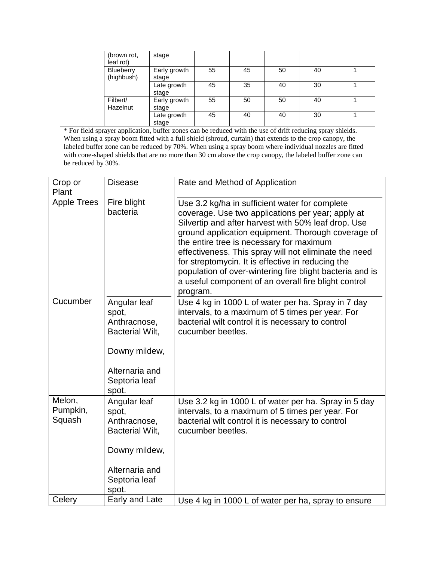| (brown rot,<br>leaf rot) | stage                 |    |    |    |    |  |
|--------------------------|-----------------------|----|----|----|----|--|
| Blueberry<br>(highbush)  | Early growth<br>stage | 55 | 45 | 50 | 40 |  |
|                          | Late growth<br>stage  | 45 | 35 | 40 | 30 |  |
| Filbert/<br>Hazelnut     | Early growth<br>stage | 55 | 50 | 50 | 40 |  |
|                          | Late growth<br>stage  | 45 | 40 | 40 | 30 |  |

\* For field sprayer application, buffer zones can be reduced with the use of drift reducing spray shields. When using a spray boom fitted with a full shield (shroud, curtain) that extends to the crop canopy, the labeled buffer zone can be reduced by 70%. When using a spray boom where individual nozzles are fitted with cone-shaped shields that are no more than 30 cm above the crop canopy, the labeled buffer zone can be reduced by 30%.

| Crop or<br>Plant             | <b>Disease</b>                                                                                                               | Rate and Method of Application                                                                                                                                                                                                                                                                                                                                                                                                                                                                             |
|------------------------------|------------------------------------------------------------------------------------------------------------------------------|------------------------------------------------------------------------------------------------------------------------------------------------------------------------------------------------------------------------------------------------------------------------------------------------------------------------------------------------------------------------------------------------------------------------------------------------------------------------------------------------------------|
| <b>Apple Trees</b>           | Fire blight<br>bacteria                                                                                                      | Use 3.2 kg/ha in sufficient water for complete<br>coverage. Use two applications per year; apply at<br>Silvertip and after harvest with 50% leaf drop. Use<br>ground application equipment. Thorough coverage of<br>the entire tree is necessary for maximum<br>effectiveness. This spray will not eliminate the need<br>for streptomycin. It is effective in reducing the<br>population of over-wintering fire blight bacteria and is<br>a useful component of an overall fire blight control<br>program. |
| Cucumber                     | Angular leaf<br>spot,<br>Anthracnose,<br><b>Bacterial Wilt,</b><br>Downy mildew,<br>Alternaria and<br>Septoria leaf<br>spot. | Use 4 kg in 1000 L of water per ha. Spray in 7 day<br>intervals, to a maximum of 5 times per year. For<br>bacterial wilt control it is necessary to control<br>cucumber beetles.                                                                                                                                                                                                                                                                                                                           |
| Melon,<br>Pumpkin,<br>Squash | Angular leaf<br>spot,<br>Anthracnose,<br><b>Bacterial Wilt,</b><br>Downy mildew,<br>Alternaria and<br>Septoria leaf<br>spot. | Use 3.2 kg in 1000 L of water per ha. Spray in 5 day<br>intervals, to a maximum of 5 times per year. For<br>bacterial wilt control it is necessary to control<br>cucumber beetles.                                                                                                                                                                                                                                                                                                                         |
| Celery                       | Early and Late                                                                                                               | Use 4 kg in 1000 L of water per ha, spray to ensure                                                                                                                                                                                                                                                                                                                                                                                                                                                        |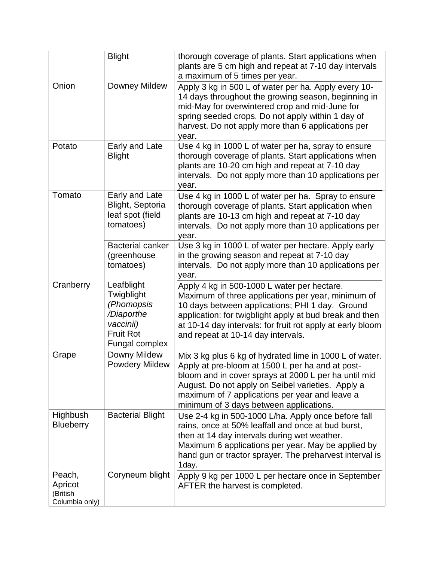|                                                 | <b>Blight</b>                                                                                                  | thorough coverage of plants. Start applications when<br>plants are 5 cm high and repeat at 7-10 day intervals<br>a maximum of 5 times per year.                                                                                                                                                                       |
|-------------------------------------------------|----------------------------------------------------------------------------------------------------------------|-----------------------------------------------------------------------------------------------------------------------------------------------------------------------------------------------------------------------------------------------------------------------------------------------------------------------|
| Onion                                           | <b>Downey Mildew</b>                                                                                           | Apply 3 kg in 500 L of water per ha. Apply every 10-<br>14 days throughout the growing season, beginning in<br>mid-May for overwintered crop and mid-June for<br>spring seeded crops. Do not apply within 1 day of<br>harvest. Do not apply more than 6 applications per<br>year.                                     |
| Potato                                          | Early and Late<br><b>Blight</b>                                                                                | Use 4 kg in 1000 L of water per ha, spray to ensure<br>thorough coverage of plants. Start applications when<br>plants are 10-20 cm high and repeat at 7-10 day<br>intervals. Do not apply more than 10 applications per<br>year.                                                                                      |
| Tomato                                          | Early and Late<br>Blight, Septoria<br>leaf spot (field<br>tomatoes)                                            | Use 4 kg in 1000 L of water per ha. Spray to ensure<br>thorough coverage of plants. Start application when<br>plants are 10-13 cm high and repeat at 7-10 day<br>intervals. Do not apply more than 10 applications per<br>year.                                                                                       |
|                                                 | <b>Bacterial canker</b><br>(greenhouse<br>tomatoes)                                                            | Use 3 kg in 1000 L of water per hectare. Apply early<br>in the growing season and repeat at 7-10 day<br>intervals. Do not apply more than 10 applications per<br>year.                                                                                                                                                |
| Cranberry                                       | Leafblight<br>Twigblight<br>(Phomopsis<br>/Diaporthe<br>vaccinii)<br><b>Fruit Rot</b><br><b>Fungal complex</b> | Apply 4 kg in 500-1000 L water per hectare.<br>Maximum of three applications per year, minimum of<br>10 days between applications; PHI 1 day. Ground<br>application: for twigblight apply at bud break and then<br>at 10-14 day intervals: for fruit rot apply at early bloom<br>and repeat at 10-14 day intervals.   |
| Grape                                           | Downy Mildew<br><b>Powdery Mildew</b>                                                                          | Mix 3 kg plus 6 kg of hydrated lime in 1000 L of water.<br>Apply at pre-bloom at 1500 L per ha and at post-<br>bloom and in cover sprays at 2000 L per ha until mid<br>August. Do not apply on Seibel varieties. Apply a<br>maximum of 7 applications per year and leave a<br>minimum of 3 days between applications. |
| Highbush<br><b>Blueberry</b>                    | <b>Bacterial Blight</b>                                                                                        | Use 2-4 kg in 500-1000 L/ha. Apply once before fall<br>rains, once at 50% leaffall and once at bud burst,<br>then at 14 day intervals during wet weather.<br>Maximum 6 applications per year. May be applied by<br>hand gun or tractor sprayer. The preharvest interval is<br>1day.                                   |
| Peach,<br>Apricot<br>(British<br>Columbia only) | Coryneum blight                                                                                                | Apply 9 kg per 1000 L per hectare once in September<br>AFTER the harvest is completed.                                                                                                                                                                                                                                |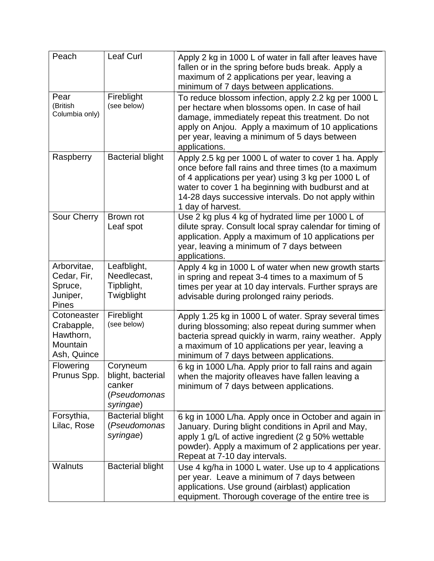| Peach                                                             | <b>Leaf Curl</b>                                                     | Apply 2 kg in 1000 L of water in fall after leaves have<br>fallen or in the spring before buds break. Apply a<br>maximum of 2 applications per year, leaving a<br>minimum of 7 days between applications.                                                                                                |
|-------------------------------------------------------------------|----------------------------------------------------------------------|----------------------------------------------------------------------------------------------------------------------------------------------------------------------------------------------------------------------------------------------------------------------------------------------------------|
| Pear<br>(British<br>Columbia only)                                | Fireblight<br>(see below)                                            | To reduce blossom infection, apply 2.2 kg per 1000 L<br>per hectare when blossoms open. In case of hail<br>damage, immediately repeat this treatment. Do not<br>apply on Anjou. Apply a maximum of 10 applications<br>per year, leaving a minimum of 5 days between<br>applications.                     |
| Raspberry                                                         | <b>Bacterial blight</b>                                              | Apply 2.5 kg per 1000 L of water to cover 1 ha. Apply<br>once before fall rains and three times (to a maximum<br>of 4 applications per year) using 3 kg per 1000 L of<br>water to cover 1 ha beginning with budburst and at<br>14-28 days successive intervals. Do not apply within<br>1 day of harvest. |
| Sour Cherry                                                       | Brown rot<br>Leaf spot                                               | Use 2 kg plus 4 kg of hydrated lime per 1000 L of<br>dilute spray. Consult local spray calendar for timing of<br>application. Apply a maximum of 10 applications per<br>year, leaving a minimum of 7 days between<br>applications.                                                                       |
| Arborvitae,<br>Cedar, Fir,<br>Spruce,<br>Juniper,<br><b>Pines</b> | Leafblight,<br>Needlecast,<br>Tipblight,<br>Twigblight               | Apply 4 kg in 1000 L of water when new growth starts<br>in spring and repeat 3-4 times to a maximum of 5<br>times per year at 10 day intervals. Further sprays are<br>advisable during prolonged rainy periods.                                                                                          |
| Cotoneaster<br>Crabapple,<br>Hawthorn,<br>Mountain<br>Ash, Quince | Fireblight<br>(see below)                                            | Apply 1.25 kg in 1000 L of water. Spray several times<br>during blossoming; also repeat during summer when<br>bacteria spread quickly in warm, rainy weather. Apply<br>a maximum of 10 applications per year, leaving a<br>minimum of 7 days between applications.                                       |
| Flowering<br>Prunus Spp.                                          | Coryneum<br>blight, bacterial<br>canker<br>(Pseudomonas<br>syringae) | 6 kg in 1000 L/ha. Apply prior to fall rains and again<br>when the majority of leaves have fallen leaving a<br>minimum of 7 days between applications.                                                                                                                                                   |
| Forsythia,<br>Lilac, Rose                                         | <b>Bacterial blight</b><br>(Pseudomonas<br>syringae)                 | 6 kg in 1000 L/ha. Apply once in October and again in<br>January. During blight conditions in April and May,<br>apply 1 g/L of active ingredient (2 g 50% wettable<br>powder). Apply a maximum of 2 applications per year.<br>Repeat at 7-10 day intervals.                                              |
| <b>Walnuts</b>                                                    | <b>Bacterial blight</b>                                              | Use 4 kg/ha in 1000 L water. Use up to 4 applications<br>per year. Leave a minimum of 7 days between<br>applications. Use ground (airblast) application<br>equipment. Thorough coverage of the entire tree is                                                                                            |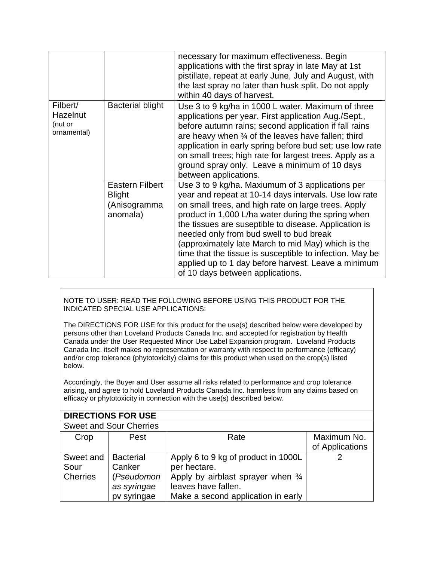|                                                       |                                                                     | necessary for maximum effectiveness. Begin<br>applications with the first spray in late May at 1st<br>pistillate, repeat at early June, July and August, with<br>the last spray no later than husk split. Do not apply<br>within 40 days of harvest.                                                                                                                                                                                                                                                                                    |
|-------------------------------------------------------|---------------------------------------------------------------------|-----------------------------------------------------------------------------------------------------------------------------------------------------------------------------------------------------------------------------------------------------------------------------------------------------------------------------------------------------------------------------------------------------------------------------------------------------------------------------------------------------------------------------------------|
| Filbert/<br><b>Hazelnut</b><br>(nut or<br>ornamental) | <b>Bacterial blight</b>                                             | Use 3 to 9 kg/ha in 1000 L water. Maximum of three<br>applications per year. First application Aug./Sept.,<br>before autumn rains; second application if fall rains<br>are heavy when 34 of the leaves have fallen; third<br>application in early spring before bud set; use low rate<br>on small trees; high rate for largest trees. Apply as a<br>ground spray only. Leave a minimum of 10 days<br>between applications.                                                                                                              |
|                                                       | <b>Eastern Filbert</b><br><b>Blight</b><br>(Anisogramma<br>anomala) | Use 3 to 9 kg/ha. Maxiumum of 3 applications per<br>year and repeat at 10-14 days intervals. Use low rate<br>on small trees, and high rate on large trees. Apply<br>product in 1,000 L/ha water during the spring when<br>the tissues are suseptible to disease. Application is<br>needed only from bud swell to bud break<br>(approximately late March to mid May) which is the<br>time that the tissue is susceptible to infection. May be<br>applied up to 1 day before harvest. Leave a minimum<br>of 10 days between applications. |

NOTE TO USER: READ THE FOLLOWING BEFORE USING THIS PRODUCT FOR THE INDICATED SPECIAL USE APPLICATIONS:

The DIRECTIONS FOR USE for this product for the use(s) described below were developed by persons other than Loveland Products Canada Inc. and accepted for registration by Health Canada under the User Requested Minor Use Label Expansion program. Loveland Products Canada Inc. itself makes no representation or warranty with respect to performance (efficacy) and/or crop tolerance (phytotoxicity) claims for this product when used on the crop(s) listed below.

Accordingly, the Buyer and User assume all risks related to performance and crop tolerance arising, and agree to hold Loveland Products Canada Inc. harmless from any claims based on efficacy or phytotoxicity in connection with the use(s) described below.

| <b>DIRECTIONS FOR USE</b>            |                                                                        |                                                                                                                                                                  |                                |  |
|--------------------------------------|------------------------------------------------------------------------|------------------------------------------------------------------------------------------------------------------------------------------------------------------|--------------------------------|--|
|                                      | <b>Sweet and Sour Cherries</b>                                         |                                                                                                                                                                  |                                |  |
| Crop                                 | Pest                                                                   | Rate                                                                                                                                                             | Maximum No.<br>of Applications |  |
| Sweet and<br>Sour<br><b>Cherries</b> | <b>Bacterial</b><br>Canker<br>(Pseudomon<br>as syringae<br>pv syringae | Apply 6 to 9 kg of product in 1000L<br>per hectare.<br>Apply by airblast sprayer when $\frac{3}{4}$<br>leaves have fallen.<br>Make a second application in early |                                |  |